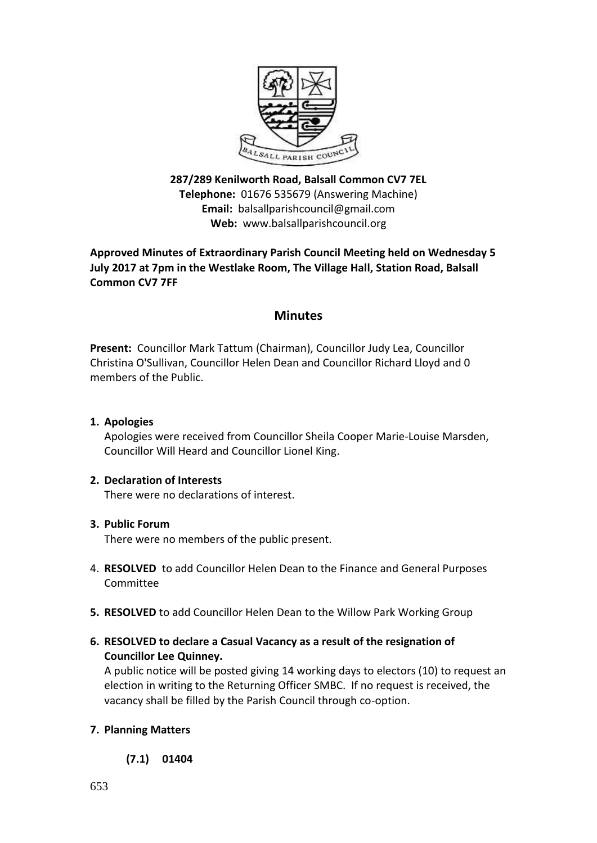

**287/289 Kenilworth Road, Balsall Common CV7 7EL Telephone:** 01676 535679 (Answering Machine) **Email:** balsallparishcouncil@gmail.com **Web:** [www.balsallparishcouncil.org](http://www.balsallparishcouncil.org/)

# **Approved Minutes of Extraordinary Parish Council Meeting held on Wednesday 5 July 2017 at 7pm in the Westlake Room, The Village Hall, Station Road, Balsall Common CV7 7FF**

# **Minutes**

**Present:** Councillor Mark Tattum (Chairman), Councillor Judy Lea, Councillor Christina O'Sullivan, Councillor Helen Dean and Councillor Richard Lloyd and 0 members of the Public.

**1. Apologies**

Apologies were received from Councillor Sheila Cooper Marie-Louise Marsden, Councillor Will Heard and Councillor Lionel King.

# **2. Declaration of Interests**

There were no declarations of interest.

# **3. Public Forum**

There were no members of the public present.

- 4. **RESOLVED** to add Councillor Helen Dean to the Finance and General Purposes Committee
- **5. RESOLVED** to add Councillor Helen Dean to the Willow Park Working Group
- **6. RESOLVED to declare a Casual Vacancy as a result of the resignation of Councillor Lee Quinney.**

A public notice will be posted giving 14 working days to electors (10) to request an election in writing to the Returning Officer SMBC. If no request is received, the vacancy shall be filled by the Parish Council through co-option.

# **7. Planning Matters**

**(7.1) 01404**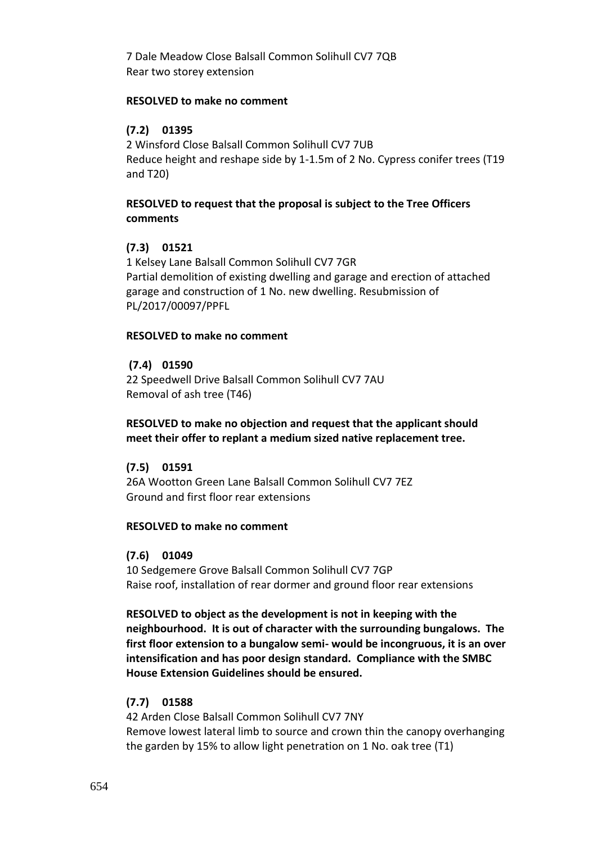7 Dale Meadow Close Balsall Common Solihull CV7 7QB [Rear two storey extension](https://publicaccess.solihull.gov.uk/online-applications/applicationDetails.do?activeTab=summary&keyVal=OQTIV8OEKSV00&prevPage=inTray)

#### **RESOLVED to make no comment**

# **(7.2) 01395**

2 Winsford Close Balsall Common Solihull CV7 7UB [Reduce height and reshape side by 1-1.5m of 2 No. Cypress conifer trees \(T19](https://publicaccess.solihull.gov.uk/online-applications/applicationDetails.do?activeTab=summary&keyVal=OQT7Y4OE04N00&prevPage=inTray)  [and T20\)](https://publicaccess.solihull.gov.uk/online-applications/applicationDetails.do?activeTab=summary&keyVal=OQT7Y4OE04N00&prevPage=inTray)

### **RESOLVED to request that the proposal is subject to the Tree Officers comments**

### **(7.3) 01521**

1 Kelsey Lane Balsall Common Solihull CV7 7GR [Partial demolition of existing dwelling and garage and erection of attached](https://publicaccess.solihull.gov.uk/online-applications/applicationDetails.do?activeTab=summary&keyVal=ORFIUYOE04M00&prevPage=inTray)  [garage and construction of 1 No. new dwelling. Resubmission of](https://publicaccess.solihull.gov.uk/online-applications/applicationDetails.do?activeTab=summary&keyVal=ORFIUYOE04M00&prevPage=inTray)  [PL/2017/00097/PPFL](https://publicaccess.solihull.gov.uk/online-applications/applicationDetails.do?activeTab=summary&keyVal=ORFIUYOE04M00&prevPage=inTray)

#### **RESOLVED to make no comment**

#### **(7.4) 01590**

22 Speedwell Drive Balsall Common Solihull CV7 7AU [Removal of ash tree \(T46\)](https://publicaccess.solihull.gov.uk/online-applications/applicationDetails.do?activeTab=summary&keyVal=ORSNBKOE01R00&prevPage=inTray)

**RESOLVED to make no objection and request that the applicant should meet their offer to replant a medium sized native replacement tree.**

#### **(7.5) 01591**

26A Wootton Green Lane Balsall Common Solihull CV7 7EZ [Ground and first floor rear extensions](https://publicaccess.solihull.gov.uk/online-applications/applicationDetails.do?activeTab=summary&keyVal=ORSPHYOEL3E00&prevPage=inTray)

#### **RESOLVED to make no comment**

### **(7.6) 01049**

10 Sedgemere Grove Balsall Common Solihull CV7 7GP [Raise roof, installation of rear dormer and ground floor rear extensions](https://publicaccess.solihull.gov.uk/online-applications/applicationDetails.do?activeTab=summary&keyVal=OOYPAOOEK7800&prevPage=inTray)

**RESOLVED to object as the development is not in keeping with the neighbourhood. It is out of character with the surrounding bungalows. The first floor extension to a bungalow semi- would be incongruous, it is an over intensification and has poor design standard. Compliance with the SMBC House Extension Guidelines should be ensured.**

#### **(7.7) 01588**

42 Arden Close Balsall Common Solihull CV7 7NY [Remove lowest lateral limb to source and crown thin the canopy overhanging](https://publicaccess.solihull.gov.uk/online-applications/applicationDetails.do?activeTab=summary&keyVal=ORSL0KOE01100&prevPage=inTray)  [the garden by 15% to allow light penetration on 1 No. oak tree \(T1\)](https://publicaccess.solihull.gov.uk/online-applications/applicationDetails.do?activeTab=summary&keyVal=ORSL0KOE01100&prevPage=inTray)